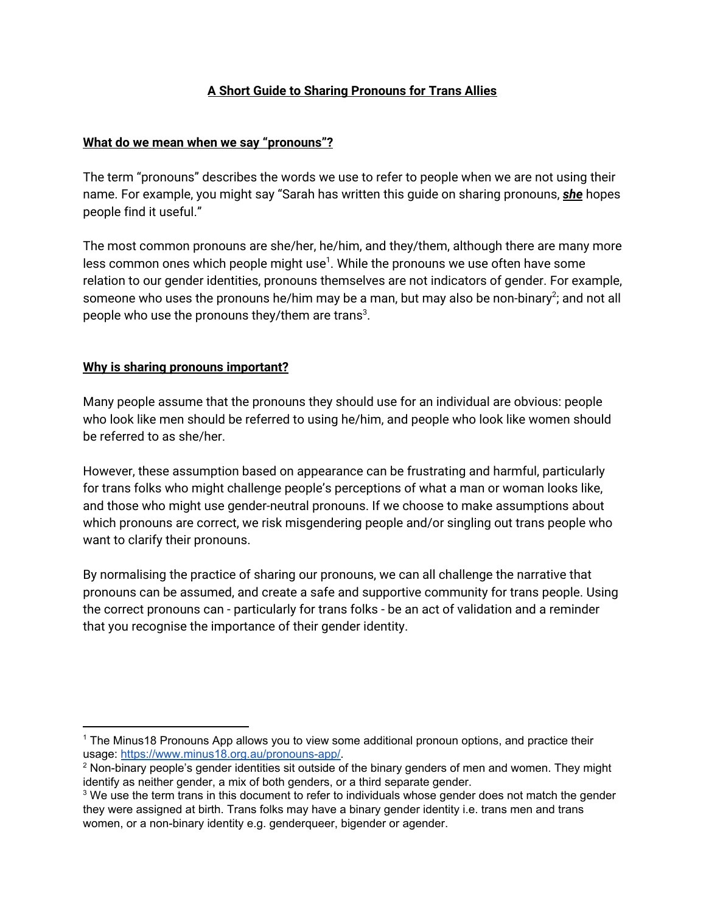### **A Short Guide to Sharing Pronouns for Trans Allies**

#### **What do we mean when we say "pronouns"?**

The term "pronouns" describes the words we use to refer to people when we are not using their name. For example, you might say "Sarah has written this guide on sharing pronouns, *she* hopes people find it useful."

The most common pronouns are she/her, he/him, and they/them, although there are many more less common ones which people might use $^1$ . While the pronouns we use often have some relation to our gender identities, pronouns themselves are not indicators of gender. For example, someone who uses the pronouns he/him may be a man, but may also be non-binary<sup>2</sup>; and not all people who use the pronouns they/them are trans $^3$ .

#### **Why is sharing pronouns important?**

Many people assume that the pronouns they should use for an individual are obvious: people who look like men should be referred to using he/him, and people who look like women should be referred to as she/her.

However, these assumption based on appearance can be frustrating and harmful, particularly for trans folks who might challenge people's perceptions of what a man or woman looks like, and those who might use gender-neutral pronouns. If we choose to make assumptions about which pronouns are correct, we risk misgendering people and/or singling out trans people who want to clarify their pronouns.

By normalising the practice of sharing our pronouns, we can all challenge the narrative that pronouns can be assumed, and create a safe and supportive community for trans people. Using the correct pronouns can - particularly for trans folks - be an act of validation and a reminder that you recognise the importance of their gender identity.

<sup>1</sup> The Minus18 Pronouns App allows you to view some additional pronoun options, and practice their usage: [https://www.minus18.org.au/pronouns-app/.](https://www.minus18.org.au/pronouns-app/)

 $2$  Non-binary people's gender identities sit outside of the binary genders of men and women. They might identify as neither gender, a mix of both genders, or a third separate gender.

<sup>&</sup>lt;sup>3</sup> We use the term trans in this document to refer to individuals whose gender does not match the gender they were assigned at birth. Trans folks may have a binary gender identity i.e. trans men and trans women, or a non-binary identity e.g. genderqueer, bigender or agender.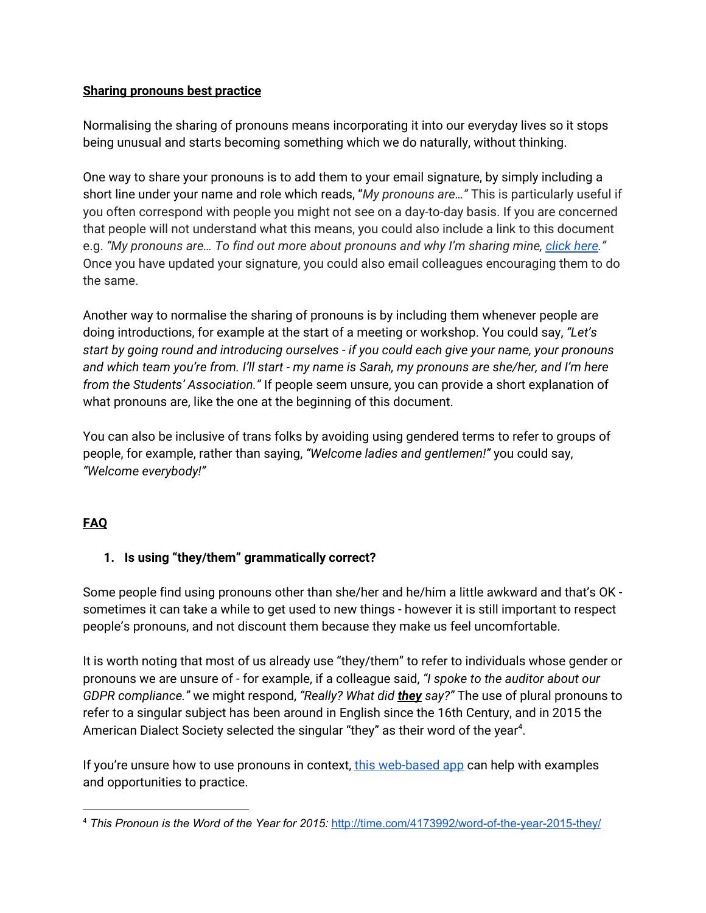### **Sharing pronouns best practice**

Normalising the sharing of pronouns means incorporating it into our everyday lives so it stops being unusual and starts becoming something which we do naturally, without thinking.

One way to share your pronouns is to add them to your email signature, by simply including a short line under your name and role which reads, "*My pronouns are…"* This is particularly useful if you often correspond with people you might not see on a day-to-day basis. If you are concerned that people will not understand what this means, you could also include a link to this document e.g. *"My pronouns are… To find out more about pronouns and why I'm sharing mine, [click](https://docs.google.com/document/d/1IBtw-VZfhlWDYCcj8o00PP8bJQNxo6IARa4hYf5bASc/edit?usp=sharing) here."* Once you have updated your signature, you could also email colleagues encouraging them to do the same.

Another way to normalise the sharing of pronouns is by including them whenever people are doing introductions, for example at the start of a meeting or workshop. You could say, *"Let's start by going round and introducing ourselves - if you could each give your name, your pronouns* and which team you're from. I'll start - my name is Sarah, my pronouns are she/her, and I'm here *from the Students' Association."* If people seem unsure, you can provide a short explanation of what pronouns are, like the one at the beginning of this document.

You can also be inclusive of trans folks by avoiding using gendered terms to refer to groups of people, for example, rather than saying, *"Welcome ladies and gentlemen!"* you could say, *"Welcome everybody!"*

### **FAQ**

### **1. Is using "they/them" grammatically correct?**

Some people find using pronouns other than she/her and he/him a little awkward and that's OK sometimes it can take a while to get used to new things - however it is still important to respect people's pronouns, and not discount them because they make us feel uncomfortable.

It is worth noting that most of us already use "they/them" to refer to individuals whose gender or pronouns we are unsure of - for example, if a colleague said, *"I spoke to the auditor about our GDPR compliance."* we might respond, *"Really? What did they say?"* The use of plural pronouns to refer to a singular subject has been around in English since the 16th Century, and in 2015 the American Dialect Society selected the singular "they" as their word of the year<sup>4</sup>.

If you're unsure how to use pronouns in context, this [web-based](https://www.minus18.org.au/pronouns-app/) app can help with examples and opportunities to practice.

<sup>4</sup> *This Pronoun is the Word of the Year for 2015:* <http://time.com/4173992/word-of-the-year-2015-they/>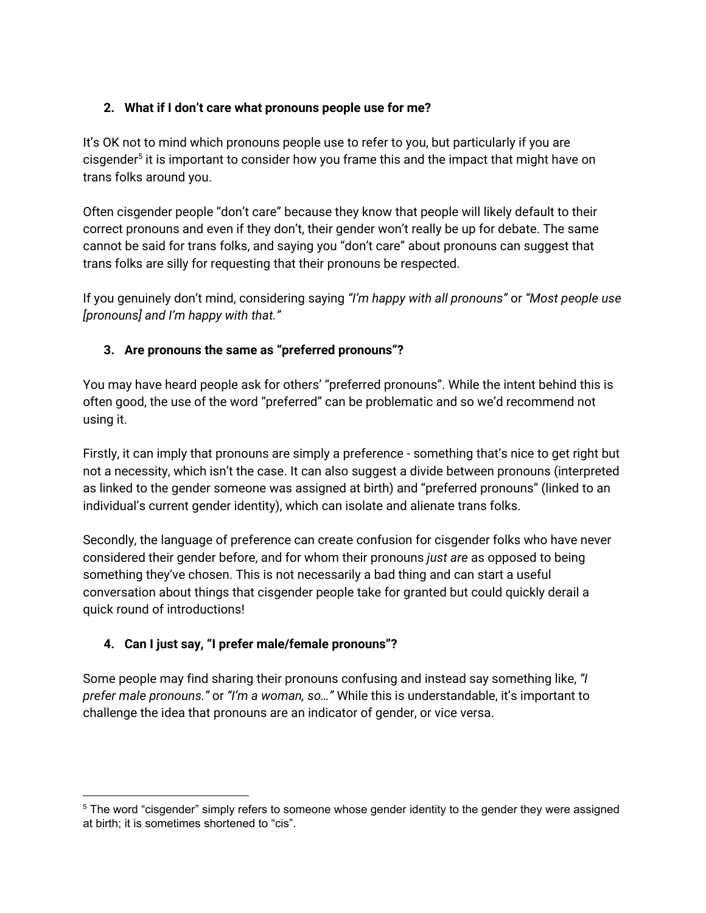### **2. What if I don't care what pronouns people use for me?**

It's OK not to mind which pronouns people use to refer to you, but particularly if you are cisgender<sup>5</sup> it is important to consider how you frame this and the impact that might have on trans folks around you.

Often cisgender people "don't care" because they know that people will likely default to their correct pronouns and even if they don't, their gender won't really be up for debate. The same cannot be said for trans folks, and saying you "don't care" about pronouns can suggest that trans folks are silly for requesting that their pronouns be respected.

If you genuinely don't mind, considering saying *"I'm happy with all pronouns"* or *"Most people use [pronouns] and I'm happy with that."*

## **3. Are pronouns the same as "preferred pronouns"?**

You may have heard people ask for others' "preferred pronouns". While the intent behind this is often good, the use of the word "preferred" can be problematic and so we'd recommend not using it.

Firstly, it can imply that pronouns are simply a preference - something that's nice to get right but not a necessity, which isn't the case. It can also suggest a divide between pronouns (interpreted as linked to the gender someone was assigned at birth) and "preferred pronouns" (linked to an individual's current gender identity), which can isolate and alienate trans folks.

Secondly, the language of preference can create confusion for cisgender folks who have never considered their gender before, and for whom their pronouns *just are* as opposed to being something they've chosen. This is not necessarily a bad thing and can start a useful conversation about things that cisgender people take for granted but could quickly derail a quick round of introductions!

# **4. Can I just say, "I prefer male/female pronouns"?**

Some people may find sharing their pronouns confusing and instead say something like, *"I prefer male pronouns."* or *"I'm a woman, so…"* While this is understandable, it's important to challenge the idea that pronouns are an indicator of gender, or vice versa.

<sup>&</sup>lt;sup>5</sup> The word "cisgender" simply refers to someone whose gender identity to the gender they were assigned at birth; it is sometimes shortened to "cis".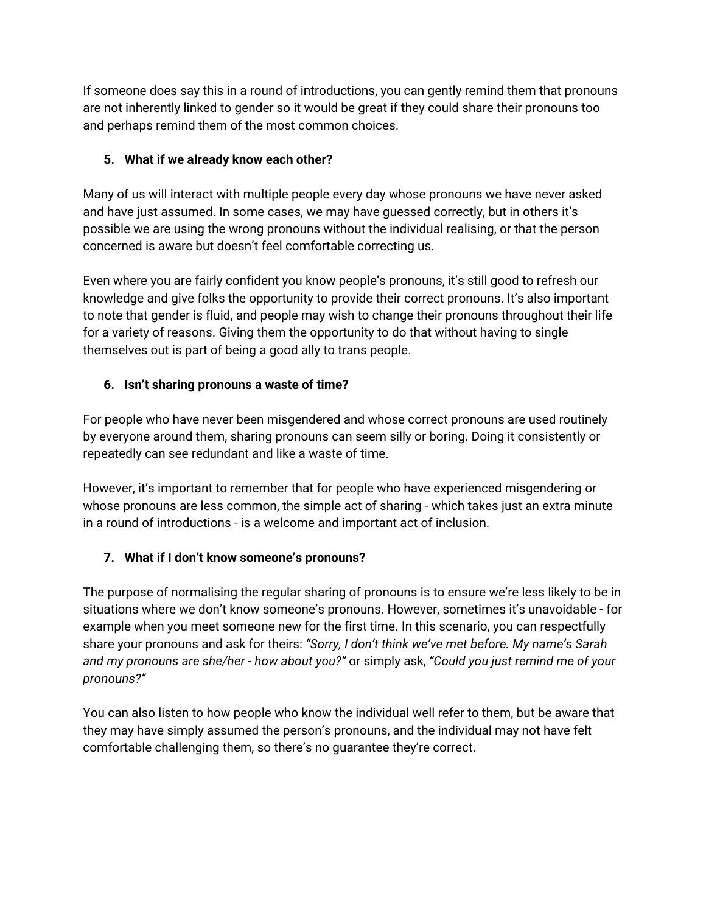If someone does say this in a round of introductions, you can gently remind them that pronouns are not inherently linked to gender so it would be great if they could share their pronouns too and perhaps remind them of the most common choices.

### **5. What if we already know each other?**

Many of us will interact with multiple people every day whose pronouns we have never asked and have just assumed. In some cases, we may have guessed correctly, but in others it's possible we are using the wrong pronouns without the individual realising, or that the person concerned is aware but doesn't feel comfortable correcting us.

Even where you are fairly confident you know people's pronouns, it's still good to refresh our knowledge and give folks the opportunity to provide their correct pronouns. It's also important to note that gender is fluid, and people may wish to change their pronouns throughout their life for a variety of reasons. Giving them the opportunity to do that without having to single themselves out is part of being a good ally to trans people.

## **6. Isn't sharing pronouns a waste of time?**

For people who have never been misgendered and whose correct pronouns are used routinely by everyone around them, sharing pronouns can seem silly or boring. Doing it consistently or repeatedly can see redundant and like a waste of time.

However, it's important to remember that for people who have experienced misgendering or whose pronouns are less common, the simple act of sharing - which takes just an extra minute in a round of introductions - is a welcome and important act of inclusion.

# **7. What if I don't know someone's pronouns?**

The purpose of normalising the regular sharing of pronouns is to ensure we're less likely to be in situations where we don't know someone's pronouns. However, sometimes it's unavoidable - for example when you meet someone new for the first time. In this scenario, you can respectfully share your pronouns and ask for theirs: *"Sorry, I don't think we've met before. My name's Sarah and my pronouns are she/her - how about you?"* or simply ask, *"Could you just remind me of your pronouns?"*

You can also listen to how people who know the individual well refer to them, but be aware that they may have simply assumed the person's pronouns, and the individual may not have felt comfortable challenging them, so there's no guarantee they're correct.